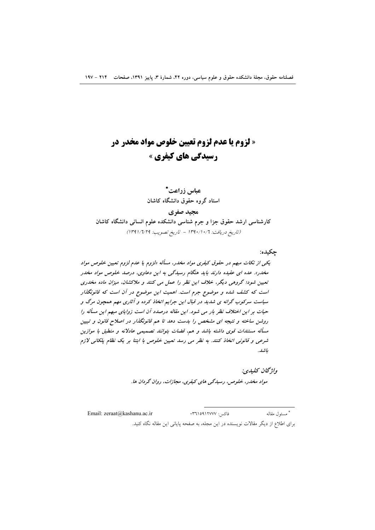# « لزوم یا عدم لزوم تعیین خلوص مواد مخدر در **رسیدگی های کیفری »**

# عياس زراعت\*

استاد گروه حقوق دانشگاه کاشان مجيد صفري کارشناسی ارشد حقوق جزا و جرم شناسی دانشکده علوم انسانی دانشگاه کاشان (تاريخ دريافت: ١٣٩٠/١٠/٦ - تاريخ تصويب: ١٣٩١/٦/٢٩)

#### جكبده:

یکی از نکات مبهم در حقوق کیفری مواد مخدر، مسأله «لزوم یا عدم لزوم تعیین خلوص مواد مخدر». عده ای عقیده دارند باید هنگام رسیدگی به این دعاوی، درصد خلوص مواد مخدر تعیین شود؛ گروهی دیگر، خلاف این نظر را عمل می کنند و ملاکشان، میزان ماده مخدری است که کشف شده و موضوع جرم است. اهمیت این موضوع در آن است که قانونگذار سیاست سرکوب گرانه ی شدید در قبال این جرایم اتخاذ کرده و آثاری مهم همچون مرگ و حیات بر این اختلاف نظر بار می شود. این مقاله درصدد آن است زوایای مبهم این مسأله را روشن ساخته و نتیجه ای مشخص را بدست دهد تا هم قانونگذار در اصلاح قانون و تبیین مسأله مستندات قوى داشته باشد و هم، قضات بتوانند تصميمي عادلانه و منطبق با موازين شرعی و قانونی اتخاذ کنند. به نظر می رسد تعیین خلوص با ابتنا بر یک نظام پلکانی لازم ىاشد.

> واۋىچان ئىلىدى: مواد مخدر، خلوص، رسیدگی های کیفری، مجازات، روان گردان ها.

\* مسئول مقاله Email: zeraat@kashanu.ac.ir فاكس: ١٣٦١٥٩١٢٧٧٠ برای اطلاع از دیگر مقالات نویسنده در این مجله، به صفحه پایانی این مقاله نگاه کنید.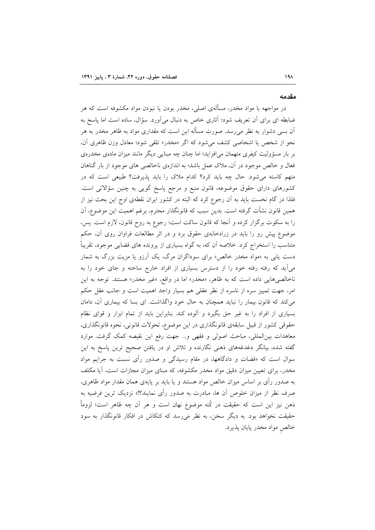#### مقدمه

در مواجهه با مواد مخدر، مسألهى اصلى، مخدر بودن يا نبودن مواد مكشوفه است كه هر ضابطه ای برای آن تعریف شود؛ آثاری خاص به دنبال میآورد. سؤال، ساده است اما پاسخ به آن بسی دشوار به نظر میرسد. صورت مسأله این است که مقداری مواد به ظاهر مخدر به هر نحو از شخص یا اشخاصی کشف می شود که اگر «مخدر» تلقی شود؛ معادل وزن ظاهری آن، بر بار مسؤولیت کیفری متهمان می|فزاید؛ اما چنان چه مبنایی دیگر مانند میزان مادهی مخدرهی فعال و خالص موجود در آن، ملاک عمل باشد؛ به اندازهی ناخالصی های موجود از بار گناهان متهم کاسته می شود. حال چه باید کرد؟ کدام ملاک را باید پذیرفت؟ طبیعی است که در کشورهای دارای حقوق موضوعه، قانون منبع و مرجع پاسخ گویی به چنین سؤالاتی است. فلذا در گام نخست باید به اّن رجوع کرد که البته در کشور ایران نقطهی اوج این بحث نیز از همین قانون نشأت گرفته است. بدین سبب که قانونگذار محترم، برغم اهمیت این موضوع، آن را به سکوت برگزار کرده و آنجا که قانون ساکت است؛ رجوع به روح قانون، لازم است. پس، موضوع پیش رو را باید در زرادخانهی حقوق برد و در اثر مطالعات فراوان روی آن، حکم متناسب را استخراج کرد. خلاصه اَن که، به گواه بسیاری از پرونده های قضایی موجود، تقریباً دست یابی به «مواد مخدر خالص» برای سوداگران مرگ، یک آرزو یا مزیت بزرگ به شمار میآید که رفته رفته خود را از دسترس بسیاری از افراد خارج ساخته و جای خود را به ناخالصی هایی داده است که به ظاهر، «مخدر» اما در واقع، «غیر مخدر» هستند. توجه به این امر، جهت تمییز سره از ناسره از نظر عقلی هم بسیار واجد اهمیت است و جانب عقل حکم می کند که قانون بیمار را نباید همچنان به حال خود واگذاشت. ای بسا که بیماری آن، دامان بسیاری از افراد را به غیر حق بگیرد و آلوده کند. بنابراین باید از تمام ابزار و قوای نظام حقوقی کشور از قبیل سابقهی قانونگذاری در این موضوع، تحولات قانونی، نحوه قانونگذاری، معاهدات بینالمللی، مباحث اصولی و فقهی و… جهت رفع این نقیصه کمک گرفت. موارد گفته شده، بیانگر دغدغههای ذهنی نگارنده و تلاش او در یافتن صحیح ترین پاسخ به این سوال است که «قضات و دادگاهها، در مقام رسیدگی و صدور رأی نسبت به جرایم مواد مخدر، برای تعیین میزان دقیق مواد مخدر مکشوفه، که مبنای میزان مجازات است، آیا مکلف به صدور رأی بر اساس میزان خالص مواد هستند و یا باید بر پایهی همان مقدار مواد ظاهری، صرف نظر از میزان خلوص آن ها، مبادرت به صدور رأی نمایند؟!» نزدیک ترین فرضیه به ذهن نيز اين است كه حقيقت در كُنه موضوع نهان است و هر آن چه ظاهر است؛ لزوماً حقیقت نخواهد بود. به دیگر سخن، به نظر میرسد که کنکاش در افکار قانونگذار به سود خالص مواد مخدر پایان پذیرد.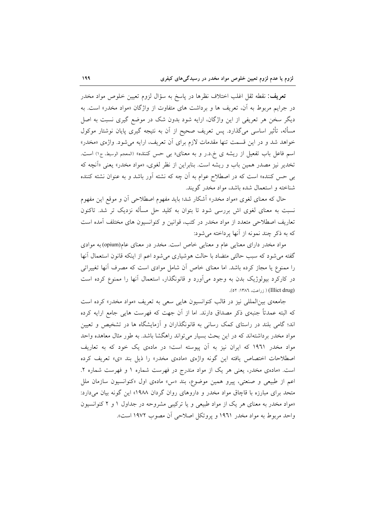**تعریف**: نقطه ثقل اغلب اختلاف نظرها در پاسخ به سؤال لزوم تعیین خلوص مواد مخدر در جرایم مربوط به آن، تعریف ها و برداشت های متفاوت از واژگان «مواد مخدر» است. به دیگر سخن هر تعریفی از این واژگان، ارایه شود بدون شک در موضع گیری نسبت به اصل مسأله، تأثیر اساسی میگذارد. پس تعریف صحیح از آن به نتیجه گیری پایان نوشتار موکول خواهد شد و در این قسمت تنها مقدمات لازم برای آن تعریف، ارایه می شود. واژهی «مخدر» اسم فاعل باب تفعیل از ریشه ی خ.د.ر و به معنای« ب<sub>ی</sub> حس کننده» (المعجم الوسیط، ج۱) است. تخدیر نیز مصدر همین باب و ریشه است. بنابراین از نظر لغوی، «مواد مخدر» یعنی «آنچه که بی حس کننده» است که در اصطلاح عوام به آن چه که نشئه آور باشد و به عنوان نشئه کننده شناخته و استعمال شده باشد، مواد مخدر گویند.

حال که معنای لغوی «مواد مخدر» آشکار شد؛ باید مفهوم اصطلاحی آن و موقع این مفهوم نسبت به معنای لغوی اش بررسی شود تا بتوان به کلید حل مسأله نزدیک تر شد. تاکنون تعاریف اصطلاحی متعدد از مواد مخدر در کتب، قوانین و کنوانسیون های مختلف آمده است که به ذکر چند نمونه از آنها پرداخته می شود:

مواد مخدر دارای معنایی عام و معنایی خاص است. مخدر در معنای عام(opium) به موادی گفته می شود که سبب حالتی متضاد با حالت هوشیاری می شود اعم از اینکه قانون استعمال آنها را ممنوع یا مجاز کرده باشد. اما معنای خاص آن شامل موادی است که مصرف آنها تغییراتی در کارکرد بیولوژیک بدن به وجود میآورد و قانونگذار، استعمال آنها را ممنوع کرده است (Illict drug) ( زراعت، ١٣٨٦: ٥٢).

جامعهى بين المللي نيز در قالب كنوانسيون هايي سعى به تعريف «مواد مخدر» كرده است که البته عمدتاً جنبهی ذکر مصداق دارند. اما از آن جهت که فهرست هایی جامع ارایه کرده اند؛ گامی بلند در راستای کمک رسانی به قانونگذاران و آزمایشگاه ها در تشخیص و تعیین مواد مخدر برداشتهاند که در این بحث بسیار می تواند راهگشا باشد. به طور مثال معاهده واحد مواد مخدر ۱۹۶۱ که ایران نیز به آن پیوسته است؛ در مادهی یک خود که به تعاریف اصطلاحات اختصاص یافته این گونه واژهی «مادهی مخدر» را ذیل بند «ی» تعریف کرده است. «مادهی مخدر، یعنی هر یک از مواد مندرج در فهرست شماره ۱ و فهرست شماره ۲. اعم از طبیعی و صنعتی، پیرو همین موضوع، بند «س» مادهی اول «کنوانسیون سازمان ملل متحد برای مبارزه با قاچاق مواد مخدر و داروهای روان گردان ۱۹۸۸» این گونه بیان میدارد: «مواد مخدر به معنای هر یک از مواد طبیعی و یا ترکیبی مشروحه در جداول ۱ و ۲ کنوانسیون واحد مربوط به مواد مخدر ۱۹۶۱ و پروتکل اصلاحی آن مصوب ۱۹۷۲ است».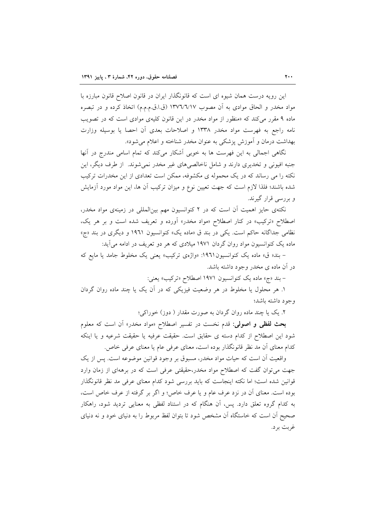این رویه درست همان شیوه ای است که قانونگذار ایران در قانون اصلاح قانون مبارزه با مواد مخدر و الحاق موادي به أن مصوب ١٣٧٦/٦/١٧ (ق.ا.ق.م.م.م) اتخاذ كرده و در تبصره ماده ۹ مقرر میکند که «منظور از مواد مخدر در این قانون کلیهی موادی است که در تصویب نامه راجع به فهرست مواد مخدر ۱۳۳۸ و اصلاحات بعدی آن احصا یا بوسیله وزارت بهداشت درمان و آموزش پزشکی به عنوان مخدر شناخته و اعلام میشود».

نگاهی اجمالی به این فهرست ها به خوبی آشکار میکند که تمام اسامی مندرج در آنها جنبه افیونی و تخدیری دارند و شامل ناخالصیهای غیر مخدر نمی شوند. از طرف دیگر، این نکته را می رساند که در یک محموله ی مکشوفه، ممکن است تعدادی از این مخدرات ترکیب شده باشند؛ فلذا لازم است که جهت تعیین نوع و میزان ترکیب اَن ها، این مواد مورد اَزمایش و بررسی قرار گیرند.

نکتهی حایز اهمیت آن است که در ۲ کنوانسیون مهم بینالمللی در زمینهی مواد مخدر، اصطلاح «ترکیب» در کنار اصطلاح «مواد مخدر» اَورده و تعریف شده است و بر هر یک، نظامی جداگانه حاکم است. یکی در بند ق «ماده یک» کنوانسیون ۱۹۶۱ و دیگری در بند «ج» ماده یک کنوانسیون مواد روان گردان ۱۹۷۱ میلادی که هر دو تعریف در ادامه می آید:

- بند« ق» ماده یک کنوانسیون ١٩٦١: «واژهی ترکیب» یعنی یک مخلوط جامد یا مایع که در آن ماده ی مخدر وجود داشته باشد.

- بند «ج» ماده يک کنوانسيون ١٩٧١ اصطلاح «ترکيب» يعني:

۱. هر محلول یا مخلوط در هر وضعیت فیزیکی که در آن یک یا چند ماده روان گردان وجود داشته باشد؛

۲. یک یا چند ماده روان گردان به صورت مقدار ( دوز) خوراکی؛

بحث لفظی و اصولی: قدم نخست در تفسیر اصطلاح «مواد مخدر» آن است که معلوم شود این اصطلاح از کدام دسته ی حقایق است. حقیقت عرفیه یا حقیقت شرعیه و یا اینکه كدام معناي أن مد نظر قانونگذار بوده است، معناي عرفي عام يا معناي عرفي خاص.

واقعیت آن است که حیات مواد مخدر، مسبوق بر وجود قوانین موضوعه است. پس از یک جهت می توان گفت که اصطلاح مواد مخدر،حقیقتی عرفی است که در برههای از زمان وارد قوانین شده است؛ اما نکته اینجاست که باید بررسی شود کدام معنای عرفی مد نظر قانونگذار بوده است. معناي آن در نزد عرف عام و يا عرف خاص؛ و اگر بر گرفته از عرف خاص است، به کدام گروه تعلق دارد. پس، آن هنگام که در استناد لفظی به معنایی تردید شود، راهکار صحیح آن است که خاستگاه آن مشخص شود تا بتوان لفظ مربوط را به دنیای خود و نه دنیای غربت بر د.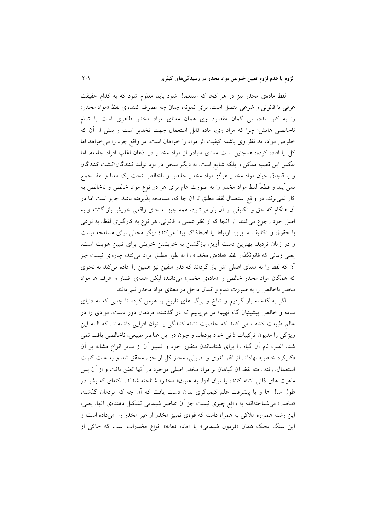لفظ مادهی مخدر نیز در هر کجا که استعمال شود باید معلوم شود که به کدام حقیقت عرفي يا قانوني و شرعي متصل است. براي نمونه، چنان چه مصرف كنندهاي لفظ «مواد مخدر» را به کار بندد، بی گمان مقصود وی همان معنای مواد مخدر ظاهری است با تمام ناخالصی هایش؛ چرا که مراد وی، ماده قابل استعمال جهت تخدیر است و بیش از آن که خلوص مواد، مد نظر وی باشد؛ کیفیت اثر مواد را خواهان است. در واقع جزء را می خواهد اما کل را افاده کرده؛ همچنین است معنای متبادر از مواد مخدر در اذهان اغلب افراد جامعه. اما عکس این قضیه ممکن و بلکه شایع است. به دیگر سخن در نزد تولید کنندگان/کشت کنندگان و يا قاچاق چيان مواد مخدر هرگز مواد مخدر خالص و ناخالص تحت يک معنا و لفظ جمع نمیمآیند و قطعاً لفظ مواد مخدر را به صورت عام برای هر دو نوع مواد خالص و ناخالص به کار نمی برند. در واقع استعمال لفظ مطلق تا آن جا که، مسامحه پذیرفته باشد جایز است اما در آن هنگام که حق و تکلیفی بر آن بار می شود، همه چیز به جای واقعی خویش باز گشته و به اصل خود رجوع میکنند. از آنجا که از نظر عملی و قانونی، هر نوع به کارگیری لفظ، به نوعی با حقوق و تکالیف سایرین ارتباط یا اصطکاک پیدا میکند؛ دیگر مجالی برای مسامحه نیست و در زمان تردید، بهترین دست آویز، بازگشتن به خویشتن خویش برای تبیین هویت است. یعنی زمانی که قانونگذار لفظ «مادهی مخدر» را به طور مطلق ایراد میکند؛ چارهای نیست جز آن که لفظ را به معنای اصلی اش باز گرداند که قدر متقین نیز همین را افاده میکند به نحوی که همگان مواد مخدر خالص را «مادهی مخدر» میدانند؛ لیکن همهی اقشار و عرف ها مواد مخدر ناخالص را به صورت تمام و کمال داخل در معنای مواد مخدر نمیدانند.

اگر به گذشته باز گردیم و شاخ و برگ های تاریخ را هرس کرده تا جایی که به دنیای ساده و خالص پیشینیان گام نهیم؛ در مییابیم که در گذشته، مردمان دور دست، موادی را در عالم طبیعت کشف می کنند که خاصیت نشئه کنندگی یا توان افزایی داشتهاند. که البته این ویژگی را مدیون ترکیبات ذاتی خود بودهاند و چون در این عناصر طبیعی، ناخالصی یافت نمی شد، اغلب نام أن گیاه را برای شناساندن منظور خود و تمییز أن از سایر انواع مشابه بر أن «کارکرد خاص» نهادند. از نظر لغوی و اصولی، مجاز کل از جزء محقق شد و به علت کثرت استعمال، رفته رفته لفظ أن گياهان بر مواد مخدر اصلي موجود در أنها تعيّن يافت و از أن يس ماهیت های ذاتی نشئه کننده یا توان افزا، به عنوان« مخدر» شناخته شدند. نکتهای که بشر در طول سال ها و با پیشرفت علم کیمیاگری بدان دست یافت که آن چه که مردمان گذشته، «مخدر» می شناختهاند؛ به واقع چیزی نیست جز آن عناصر شیمایی تشکیل دهندهی آنها، یعنی، این رشته همواره ملاکی به همراه داشته که قوهی تمییز مخدر از غیر مخدر را میداده است و این سنگ محک همان «فرمول شیمایی» یا «ماده فعاله» انواع مخدرات است که حاکی از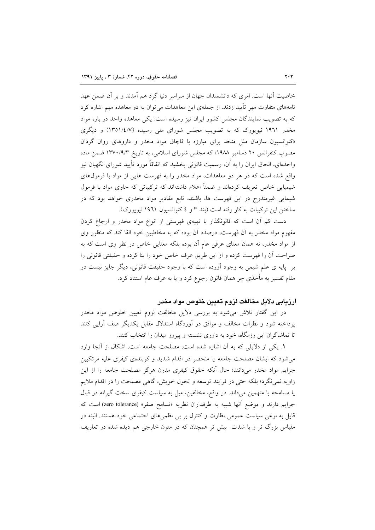خاصیت آنها است. امری که دانشمندان جهان از سراسر دنیا گرد هم آمدند و بر آن ضمن عهد نامههای متفاوت مهر تأیید زدند. از جملهی این معاهدات می توان به دو معاهده مهم اشاره کرد که به تصویب نمایندگان مجلس کشور ایران نیز رسیده است: یکی معاهده واحد در باره مواد مخدر ۱۹۶۱ نیویورک که به تصویب مجلس شورای ملی رسیده (۱/۴۵۱/٤/۷) و دیگری «کنوانسیون سازمان ملل متحد برای مبارزه با قاچاق مواد مخدر و داروهای روان گردان مصوب کنفرانس ۲۰ دسامبر ۱۹۸۸» که مجلس شورای اسلامی، به تاریخ ۱۳۷۰/۹/۳ ضمن ماده واحدهای، الحاق ایران را به آن، رسمیت قانونی بخشید که اتفاقاً مورد تأیید شورای نگهبان نیز واقع شده است که در هر دو معاهدات، مواد مخدر را به فهرست هایی از مواد با فرمولهای شیمیایی خاص تعریف کردهاند و ضمناً اعلام داشتهاند که ترکیباتی که حاوی مواد با فرمول شیمایی غیرمندرج در این فهرست ها، باشند، تابع مقادیر مواد مخدری خواهد بود که در ساختن این ترکیبات به کار رفته است (بند ۳ و ٤ کنوانسیون ١٩٦١ نیویورک).

دست کم أن است که قانونگذار با تهیهی فهرستی از انواع مواد مخدر و ارجاع کردن مفهوم مواد مخدر به آن فهرست، درصدد آن بوده که به مخاطبین خود القا کند که منظور وی از مواد مخدر، نه همان معنای عرفی عام آن بوده بلکه معنایی خاص در نظر وی است که به صراحت أن را فهرست كرده و از اين طريق عرف خاص خود را بنا كرده و حقيقتي قانوني را بر پایه ی علم شیمی به وجود آورده است که با وجود حقیقت قانونی، دیگر جایز نیست در مقام تفسیر به مأخذی جز همان قانون رجوع کرد و یا به عرف عام استناد کرد.

## ارزيابي دلايل مخالفت لزوم تعيين خلوص مواد مخدر

در این گفتار تلاش میشود به بررسی دلایل مخالفت لزوم تعیین خلوص مواد مخدر پرداخته شود و نظرات مخالف و موافق در آوردگاه استدلال مقابل یکدیگر صف آرایی کنند تا تماشاگران این رزمگاه، خود به داوری نشسته و پیروز میدان را انتخاب کنند.

١. يكي از دلايلي كه به آن اشاره شده است، مصلحت جامعه است. اشكال از آنجا وارد می شود که ایشان مصلحت جامعه را منحصر در اقدام شدید و کوبندهی کیفری علیه مرتکبین جرایم مواد مخدر میدانند؛ حال اّنکه حقوق کیفری مدرن هرگز مصلحت جامعه را از این زاويه نمي،نگرد؛ بلكه حتى در فرايند توسعه و تحول خويش، گاهي مصلحت را در اقدام ملايم یا مسامحه با متهمین میداند. در واقع، مخالفین، میل به سیاست کیفری سخت گیرانه در قبال جرايم دارند و موضع أنها شبيه به طرفداران نظريه «تسامح صفر» (zero tolerance) است كه قایل به نوعی سیاست عمومی نظارت و کنترل بر بی نظمیهای اجتماعی خود هستند. البته در مقیاس بزرگ تر و با شدت بیش تر همچنان که در متون خارجی هم دیده شده در تعاریف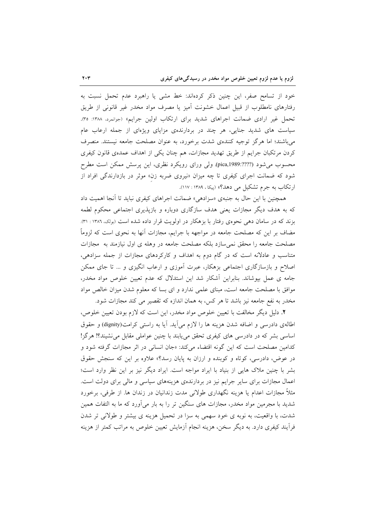خود از تسامح صفر، این چنین ذکر کردهاند: خط مشی یا راهبرد عدم تحمل نسبت به رفتارهای نامطلوب از قبیل اعمال خشونت اَمیز یا مصرف مواد مخدر غیر قانونی از طریق تحمل غیر ارادی ضمانت اجراهای شدید برای ارتکاب اولین جرایم» (جوانمرد، ۱۳۸۸: ۳۵). سیاست های شدید جنایی، هر چند در بردارندهی مزایای ویژهای از جمله ارعاب عام میباشند؛ اما هرگز توجیه کنندهی شدت برخورد، به عنوان مصلحت جامعه نیستند. منصرف کردن مرتکبان جرایم از طریق تهدید مجازات، هم چنان یکی از اهداف عمدهی قانون کیفری محسوب میشود (???:?pica,1989). ولی ورای رویکرد نظری، این پرسش ممکن است مطرح شود که ضمانت اجرای کیفری تا چه میزان «نیروی ضربه زن» موثر در بازدارندگی افراد از ارتکاب به جرم تشکیل می دهد؟» (پیکا، ۱۳۸۹: ۱۱۷).

همچنین با این حال به جنبهی «سزادهی» ضمانت اجراهای کیفری نباید تا آنجا اهمیت داد که به هدف دیگر مجازات یعنی هدف سازگاری دوباره و بازیذیری اجتماعی محکوم لطمه بزند که در سامان دهی نحوهی رفتار با بزهکار در اولویت قرار داده شده است (بونک، ۱۳۸۲ : ۳۱). مضاف بر این که مصلحت جامعه در مواجهه با جرایم، مجازات آنها به نحوی است که لزوماً مصلحت جامعه را محقق نمیسازد بلکه مصلحت جامعه در وهله ی اول نیازمند به مجازات متناسب و عادلانه است که در گام دوم به اهداف و کارکردهای مجازات از جمله سزادهی، اصلاح و بازسازگاری اجتماعی بزهکار، عبرت اَموزی و ارعاب انگیزی و … تا جای ممکن جامه ی عمل بپوشاند. بنابراین أشکار شد این استدلال که عدم تعیین خلوص مواد مخدر، موافق با مصلحت جامعه است، مبنای علمی ندارد و ای بسا که معلوم شدن میزان خالص مواد مخدر به نفع جامعه نیز باشد تا هر کس، به همان اندازه که تقصیر می کند مجازات شود.

٢. دليل ديگر مخالفت با تعيين خلوص مواد مخدر، اين است كه لازم بودن تعيين خلوص، اطالهی دادرسی و اضافه شدن هزینه ها را لازم می آید. آیا به راستی کرامت(dignity) و حقوق اساسی بشر که در دادرسی های کیفری تحقق می پابند با چنین عواملی مقابل می نشیند؟! هرگز! کدامین مصلحت است که این گونه اقتضاء میکند: «جان انسانی در اثر مجازات گرفته شود و در عوض، دادرسی، کوتاه و کوبنده و ارزان به پایان رسد؟» علاوه بر این که سنجش حقوق بشر با چنین ملاک هایی از بنیاد با ایراد مواجه است. ایراد دیگر نیز بر این نظر وارد است؛ اعمال مجازات برای سایر جرایم نیز در بردارندهی هزینههای سیاسی و مالی برای دولت است. مثلاً مجازات اعدام یا هزینه نگهداری طولانی مدت زندانیان در زندان ها. از طرفی، برخورد شدید با مجرمین مواد مخدر، مجازات های سنگین تر را به بار می آورد که ما به التفات همین شدت، با واقعیت، به نوبه ی خود سهمی به سزا در تحمیل هزینه ی بیشتر و طولانی تر شدن فرآیند کیفری دارد. به دیگر سخن، هزینه انجام آزمایش تعیین خلوص به مراتب کمتر از هزینه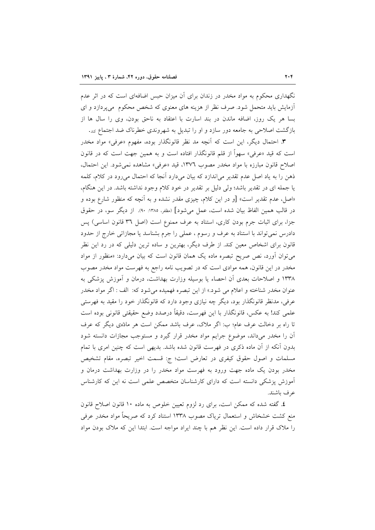نگهداری محکوم به مواد مخدر در زندان برای آن میزان حبس اضافهای است که در اثر عدم آزمایش باید متحمل شود. صرف نظر از هزینه های معنوی که شخص محکوم میپردازد و ای بسا هر یک روز، اضافه ماندن در بند اسارت با اعتقاد به ناحق بودن، وی را سال ها از بازگشت اصلاحی به جامعه دور سازد و او را تبدیل به شهروندی خطرناک ضد اجتماع <sub>کند</sub>.

**۳**. احتمال دیگر، این است که آنچه مد نظر قانونگذار بوده، مفهوم «عرفی» مواد مخدر است که قید «عرفی» سهواً از قلم قانونگذار افتاده است و به همین جهت است که در قانون اصلاح قانون مبارزه با مواد مخدر مصوب ١٣٧٦، قيد «عرفي» مشاهده نمي شود. اين احتمال، ذهن را به ياد اصل عدم تقدير مي|ندازد كه بيان ميدارد آنجا كه احتمال مي رود در كلام، كلمه یا جمله ای در تقدیر باشد؛ ولی دلیل بر تقدیر در خود کلام وجود نداشته باشد. در این هنگام، «اصل، عدم تقدیر است» [و در این کلام، چیزی مقدر نشده و به آنچه که منظور شارع بوده و در قالب همین الفاظ بیان شده است، عمل میشود] (مظفر، ۱۳۸۵: ۹۰). از دیگر سو، در حقوق جزا، برای اثبات جرم بودن کاری، استناد به عرف ممنوع است (اصل ٣٦ قانون اساسی) پس دادرس نمي تواند با استناد به عرف و رسوم ، عملي را جرم بشناسد يا مجازاتي خارج از حدود قانون برای اشخاص معین کند. از طرف دیگر، بهترین و ساده ترین دلیلی که در رد این نظر می توان آورد، نص صریح تبصره ماده یک همان قانون است که بیان میدارد: «منظور از مواد مخدر در این قانون، همه موادی است که در تصویب نامه راجع به فهرست مواد مخدر مصوب ۱۳۳۸ و اصلاحات بعدی آن احصاء یا بوسیله وزارت بهداشت، درمان و آموزش پزشکی به عنوان مخدر شناخته و اعلام می شود.» از این تبصره فهمیده میشود که: الف : اگر مواد مخدر عرفی، مدنظر قانونگذار بود، دیگر چه نیازی وجود دارد که قانونگذار خود را مقید به فهرستی علمي كند! به عكس، قانونگذار با اين فهرست، دقيقاً درصدد وضع حقيقتي قانوني بوده است تا راه بر دخالت عرف عام؛ ب: اگر ملاک، عرف باشد ممکن است هر مادّهی دیگر که عرف آن را مخدر میداند، موضوع جرایم مواد مخدر قرار گیرد و مستوجب مجازات دانسته شود بدون آنکه از آن ماده ذکری در فهرست قانون شده باشد. بدیهی است که چنین امری با تمام مسلمات و اصول حقوق کیفری در تعارض است؛ ج: قسمت اخیر تبصره، مقام تشخیص مخدر بودن یک ماده جهت ورود به فهرست مواد مخدر را در وزارت بهداشت درمان و آموزش پزشکی دانسته است که دارای کارشناسان متخصص علمی است نه این که کارشناس عرف باشند.

٤. گفته شده که ممکن است، برای رد لزوم تعیین خلوص به ماده ١٠ قانون اصلاح قانون منع کشت خشخاش و استعمال تریاک مصوب ۱۳۳۸ استناد کرد که صریحاً مواد مخدر عرفی را ملاک قرار داده است. این نظر هم با چند ایراد مواجه است. ابتدا این که ملاک بودن مواد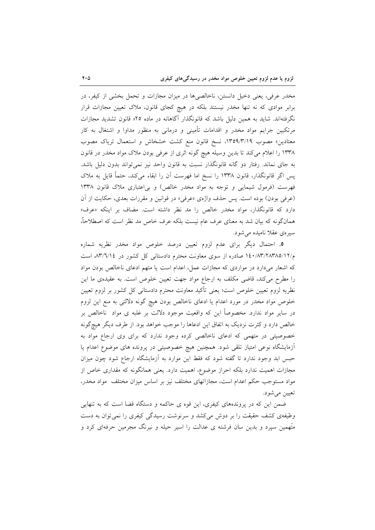مخدر عرفی، یعنی دخیل دانستن، ناخالصیها در میزان مجازات و تحمل بخشی از کیفر، در برابر موادی که نه تنها مخدر نیستند بلکه در هیچ کجای قانون، ملاک تعیین مجازات قرار نگرفتهاند. شاید به همین دلیل باشد که قانونگذار آگاهانه در ماده ۲۵« قانون تشدید مجازات مرتکبین جرایم مواد مخدر و اقدامات تأمینی و درمانی به منظور مداوا و اشتغال به کار معتادین» مصوب ١٣٥٩/٣/١٩، نسخ قانون منع كشت خشخاش و استعمال تریاك مصوب ۱۳۳۸ را اعلام می کند تا بدین وسیله هیچ گونه اثری از عرفی بودن ملاک مواد مخدر در قانون به جای نماند. رفتار دو گانه قانونگذار نسبت به قانون واحد نیز نمیتواند بدون دلیل باشد. یس اگر قانونگذار، قانون ۱۳۳۸ را نسخ اما فهرست آن را ابقاء می کند، حتماً قایل به ملاک فهرست (فرمول شیمایی و توجه به مواد مخدر خالص) و بی اعتباری ملاک قانون ۱۳۳۸ (عرفي بودن) بوده است. پس حذف واژهي «عرفي» در قوانين و مقررات بعدي، حكايت از أن دارد که قانونگذار، مواد مخدر خالص را مد نظر داشته است. مضاف بر اینکه «عرف» همانگونه که بیان شد به معنای عرف عام نیست بلکه عرف خاص مد نظر است که اصطلاحاً، سیره ی عقلا نامیده می شود.

٥. احتمال ديگر براي عدم لزوم تعيين درصد خلوص مواد مخدر نظريه شماره م/۲/۱۲۸۳/۱۸۳/۱۸۳/۱۹ صادره از سوی معاونت محترم دادستانی کل کشور در ۸۳/٦/۱٤، است که اشعار میدارد در مواردی که مجازات عمل، اعدام است یا متهم ادعای ناخالص بودن مواد را مطرح می کند، قاضی مکلف به ارجاع مواد جهت تعیین خلوص است. به عقیدهی ما این نظریه لزوم تعیین خلوص است؛ یعنی تأکید معاونت محترم دادستانی کل کشور بر لزوم تعیین خلوص مواد مخدر در مورد اعدام يا ادعاى ناخالص بودن هيچ گونه دلالتي به منع اين لزوم در سایر مواد ندارد. مخصوصاً این که واقعیت موجود دلالت بر غلبه ی مواد ناخالص بر خالص دارد و کثرت نزدیک به اتفاق این ادعاها را موجب خواهد بود. از طرف دیگر هیچگونه خصوصیتی در متهمی که ادعای ناخالصی کرده وجود ندارد که برای وی ارجاع مواد به آزمایشگاه نوعی امتیاز تلقی شود. همچنین هیچ خصوصیتی در پرونده های موضوع اعدام یا حبس ابد وجود ندارد تا گفته شود که فقط این موارد به آزمایشگاه ارجاع شود چون میزان مجازات اهمیت ندارد بلکه احراز موضوع، اهمیت دارد. یعنی همانگونه که مقداری خاص از مواد مستوجب حکم اعدام است، مجازاتهای مختلف نیز بر اساس میزان مختلف ًمواد مخدر، تعيين مي شود.

ضمن این که در پروندههای کیفری، این قوه ی حاکمه و دستگاه قضا است که به تنهایی وظیفهی کشف حقیقت را بر دوش میکشد و سرنوشت رسیدگی کیفری را نمیتوان به دست متَّهمین سیرد و بدین سان فرشته ی عدالت را اسیر حیله و نیرنگ مجرمین حرفهای کرد و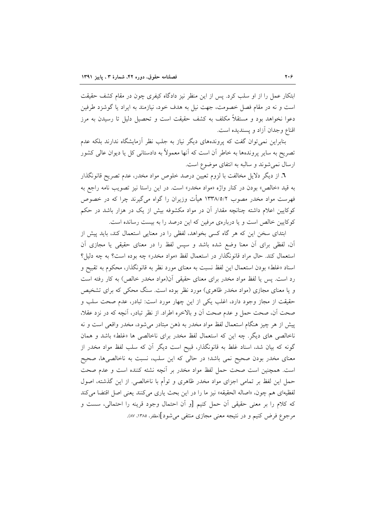ابتکار عمل را از او سلب کرد. پس از این منظر نیز دادگاه کیفری چون در مقام کشف حقیقت است و نه در مقام فصل خصومت، جهت نیل به هدف خود، نیازمند به ایراد یا گوشزد طرفین دعوا نخواهد بود و مستقلاً مکلف به کشف حقیقت است و تحصیل دلیل تا رسیدن به مرز اقناع وجدان آزاد و يسنديده است.

بنابراین نمی توان گفت که پروندههای دیگر نیاز به جلب نظر آزمایشگاه ندارند بلکه عدم تصریح به سایر پروندهها به خاطر اَن است که اَنها معمولاً به دادستانی کل یا دیوان عالی کشور ارسال نمی شوند و سالبه به انتفای موضوع است.

٦. از دیگر دلایل مخالفت با لزوم تعیین درصد خلوص مواد مخدر، عدم تصریح قانونگذار به قید «خالص» بودن در کنار واژه «مواد مخدر» است. در این راستا نیز تصویب نامه راجع به فهرست مواد مخدر مصوب ۱۳۳۸/٥/۲ هیأت وزیران را گواه میگیرند چرا که در خصوص کوکایین اعلام داشته چنانچه مقدار آن در مواد مکشوفه بیش از یک در هزار باشد در حکم کوکایین خالص است و یا دربارهی مرفین که این درصد را به بیست رسانده است.

ابتدای سخن این که هر گاه کسی بخواهد، لفظی را در معنایی استعمال کند، باید پیش از آن، لفظی برای آن معنا وضع شده باشد و سپس لفظ را در معنای حقیقی یا مجازی آن استعمال کند. حال مراد قانونگذار در استعمال لفظ «مواد مخدر» چه بوده است؟ به چه دلیل؟ اسناد «غلط» بودن استعمال این لفظ نسبت به معنای مورد نظر به قانونگذار، محکوم به تقبیح و رد است. پس یا لفظ مواد مخدر برای معنای حقیقی آن(مواد مخدر خالص) به کار رفته است و یا معنای مجازی (مواد مخدر ظاهری) مورد نظر بوده است. سنگ محکی که برای تشخیص حقیقت از مجاز وجود دارد، اغلب یکی از این چهار مورد است: تبادر، عدم صحت سلب و صحت أن، صحت حمل و عدم صحت أن و بالاخره اطراد. از نظر تبادر، أنچه كه در نزد عقلا، پیش از هر چیز هنگام استعمال لفظ مواد مخدر به ذهن مبتادر میشود، مخدر واقعی است و نه ناخالصی های دیگر. چه این که استعمال لفظ مخدر برای ناخالصی ها «غلط» باشد و همان گونه که بیان شد، اسناد غلط به قانونگذار، قبیح است دیگر آن که سلب لفظ مواد مخدر از معنای مخدر بودن صحیح نمی باشد؛ در حالی که این سلب، نسبت به ناخالصیها، صحیح است. همچنین است صحت حمل لفظ مواد مخدر بر آنچه نشئه کننده است و عدم صحت حمل این لفظ بر تمامی اجزای مواد مخدر ظاهری و توأم با ناخالصی. از این گذشته، اصول لفظيهاي هم چون، «اصاله الحقيقه» نيز ما را در اين بحث ياري مي كنند يعني اصل اقتضا مي كند كه كلام را بر معنى حقيقى أن حمل كنيم [و أن احتمال وجود قرينه را احتمالي، سست و مرجوع فرض کنیم و در نتیجه معنی مجازی منتفی می شود](مظفر، ۱۳۸۵، ۸۷).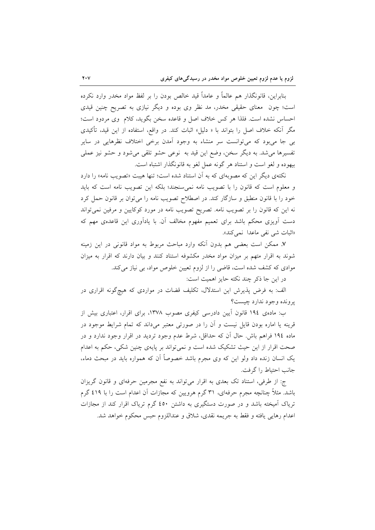بنابراين، قانونگذار هم عالماً و عامداً قيد خالص بودن را بر لفظ مواد مخدر وارد نكرده است؛ چون ً معنای حقیقی مخدر، مد نظر وی بوده و دیگر نیازی به تصریح چنین قیدی احساس نشده است. فلذا هر كس خلاف اصل و قاعده سخن بگويد، كلام وى مردود است؛ مگر آنکه خلاف اصل را بتواند با « دلیل» اثبات کند. در واقع، استفاده از این قید، تأکیدی بی جا میبود که میتوانست سر منشاء به وجود آمدن برخی اختلاف نظرهایی در سایر تفسیرها میشد. به دیگر سخن، وضع این قید به نوعی حشو تلقی میشود و حشو نیز عملی بیهوده و لغو است و استناد هر گونه عمل لغو به قانونگذار اشتباه است.

نکتهی دیگر این که مصوبهای که به آن استناد شده است؛ تنها هیبت «تصویب نامه» را دارد و معلوم است كه قانون را با تصويب نامه نمى سنجند؛ بلكه اين تصويب نامه است كه بايد خود را با قانون منطبق و سازگار كند. در اصطلاح تصويب نامه را مى توان بر قانون حمل كرد نه این که قانون را بر تصویب نامه. تصریح تصویب نامه در مورد کوکایین و مرفین نمیتواند دست اَویزی محکم باشد برای تعمیم مفهوم مخالف اَن با یاداَوری این قاعدهی مهم که «اثبات شي نفي ماعدا نمي كند».

۷. ممکن است بعضی هم بدون آنکه وارد مباحث مربوط به مواد قانونی در این زمینه شوند به اقرار متهم بر میزان مواد مخدر مکشوفه استناد کنند و بیان دارند که اقرار به میزان موادی که کشف شده است، قاضی را از لزوم تعیین خلوص مواد، بی نیاز میکند.

در این جا ذکر چند نکته حایز اهمیت است:

الف: به فرض پذیرش این استدلال، تکلیف قضات در مواردی که هیچگونه اقراری در يرونده وجود ندارد چيست؟

ب: مادهی ١٩٤ قانون آيين دادرسي كيفري مصوب ١٣٧٨، براي اقرار، اعتباري بيش از قرینه یا اماره بودن قایل نیست و آن را در صورتی معتبر میداند که تمام شرایط موجود در ماده ١٩٤ فراهم باش. حال اّن كه حداقل، شرط عدم وجود ترديد در اقرار وجود ندارد و در صحت اقرار از این حیث تشکیک شده است و نمی تواند بر پایهی چنین شکی، حکم به اعدام یک انسان زنده داد ولو این که وی مجرم باشد خصوصاً آن که همواره باید در مبحث دماء، جانب احتياط را گرفت.

ج: از طرفی، استناد تک بعدی به اقرار میتواند به نفع مجرمین حرفهای و قانون گریزان باشد. مثلاً چنانچه مجرم حرفهای، ۳۱ گرم هرویین که مجازات آن اعدام است را با ٤١٩ گرم تریاک آمیخته باشد و در صورت دستگیری به داشتن ٤٥٠ گرم تریاک اقرار کند از مجازات اعدام رهايي يافته و فقط به جريمه نقدي، شلاق و عنداللزوم حبس محكوم خواهد شد.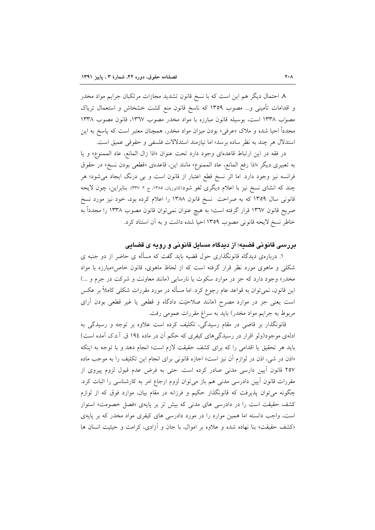٨ احتمال دیگر هم این است که با نسخ قانون تشدید مجازات مرتکبان جرایم مواد مخدر و اقدامات تأمینی و… مصوب ۱۳۵۹ که ناسخ قانون منع کشت خشخاش و استعمال تریاک مصوَّب ١٣٣٨ است، بوسيله قانون مبارزه با مواد مخدر مصوب ١٣٦٧، قانون مصوب ١٣٣٨ مجدداً احیا شده و ملاک «عرفی» بودن میزان مواد مخدر، همچنان معتبر است که پاسخ به این استدلال هر چند به نظر ساده برسد؛ اما نیازمند استدلالات فلسفی و حقوقی عمیق است.

در فقه در اين ارتباط قاعدهاى وجود دارد تحت عنوان «اذا زال المانع، عاد الممنوع» و يا به تعبيري ديگر «اذا رفع المانع، عاد الممنوع» مانند اين، قاعدهي «قطعي بودن نسخ» در حقوق فرانسه نیز وجود دارد. اما اثر نسخ قطع اعتبار از قانون است و بی درنگ ایجاد میشود؛ هر چند که انشای نسخ نیز با اعلام دیگری لغو شود(کاتوزیان، ۱۳۸۵، ج ۲: ۳۳۷). بنابراین، چون لایحه قانونی سال ۱۳۵۹ که به صراحت ً نسخ قانون ۱۳۸۸ را اعلام کرده بود، خود نیز مورد نسخ صریح قانون ۱۳٦۷ قرار گرفته است؛ به هیچ عنوان نمیتوان قانون مصوب ۱۳۳۸ را مجدداً به خاطر نسخ لایحه قانونی مصوب ١٣٥٩ احیا شده داشت و به آن استناد کرد.

### بررسی قانونی قضیه؛ از دیدگاه مسایل قانونی و رویه ی قضایی

۱. دربارهی دیدگاه قانونگذاری حول قضیه باید گفت که مسأله ی حاضر از دو جنبه ی شکلی و ماهوی مورد نظر قرار گرفته است که از لحاظ ماهوی، قانون خاص«مبارزه با مواد مخدر» وجود دارد که جز در موارد سکوت یا نارسایی (مانند معاونت و شرکت در جرم و ...) این قانون، نمیتوان به قواعد عام رجوع کرد. اما مسأله در مورد مقررات شکلی کاملاً بر عکس است یعنی جز در موارد مصرح (مانند صلاحیّت دادگاه و قطعی یا غیر قطعی بودن آرای مربوط به جرایم مواد مخدر) باید به سراغ مقررات عمومی رفت.

قانونگذار بر قاضی در مقام رسیدگی، تکلیف کرده است علاوه بر توجه و رسیدگی به ادلهی موجود(ولو اقرار در رسیدگیهای کیفری که حکم آن در ماده ۱۹٤ ق. آ.د.ک آمده است) بايد هر تحقيق يا اقدامي را كه براي كشف حقيقت لازم است؛ انجام دهد و با توجه به اينكه «اذن در شي، اذن در لوازم آن نيز است» اجازه قانوني براي انجام اين تكليف را به موجب ماده ٢٥٧ قانون اّيين دارسي مدنى صادر كرده است. حتى به فرض عدم قبول لزوم پيروى از مقررات قانون أيين دادرسي مدني هم باز مي توان لزوم ارجاع امر به كارشناسي را اثبات كرد. چگونه میتوان پذیرفت که قانونگذار حکیم و فرزانه در مقام بیان، موارد فوق که از لوازم کشف حقیقت است را در دادرسی های مدنی که بیش تر بر پایهی «فصل خصومت» استوار است، واجب دانسته اما همین موارد را در مورد دادرسی های کیفری مواد مخدر که بر پایهی «کشف حقیقت» بنا نهاده شده و علاوه بر اموال، با جان و آزادی، کرامت و حیثیت انسان ها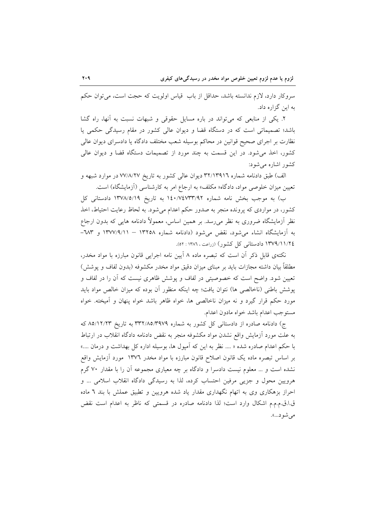سروکار دارد، لازم ندانسته باشد، حداقل از باب قیاس اولویت که حجت است، می توان حکم به این گزاره داد.

۲. یکی از منابعی که میتواند در باره مسایل حقوقی و شبهات نسبت به آنها، راه گشا باشد؛ تصمیماتی است که در دستگاه قضا و دیوان عالی کشور در مقام رسیدگی حکمی یا نظارت بر اجرای صحیح قوانین در محاکم بوسیله شعب مختلف دادگاه یا دادسرای دیوان عالی کشور، اخذ می شود. در این قسمت به چند مورد از تصمیمات دستگاه قضا و دیوان عالی کشور اشاره می شود:

الف) طبق دادنامه شماره ۳۲/۱۳۹۱٦ دیوان عالی کشور به تاریخ ۷۷/۸/۲۷ در موارد شبهه و تعیین میزان خلوصی مواد، دادگاه« مکلف» به ارجاع امر به کارشناسی (آزمایشگاه) است.

ب) به موجب بخش نامه شماره ۰/۴۰/۷٤٧٣٣/٩٢ به تاریخ ۱۳۷۸/٥/۱۹ دادستانی کل کشور، در مواردی که پرونده منجر به صدور حکم اعدام می شود. به لحاظ رعایت احتیاط، اخذ نظر اَزمایشگاه ضروری به نظر می٫رسد. بر همین اساس، معمولاً دادنامه هایی که بدون ارجاع به آزمایشگاه انشاء میشود، نقض میشود (دادنامه شماره ۱۳۲۵۸ – ۱۳۷۷/۹/۱۱ و ۱۸۳– ١٣٧٩/١١/٢٤ دادستانی کل کشور) (زراعت، ١٣٨٦ : ٥٢).

نکتهی قابل ذکر آن است که تبصره ماده ۸ آیین نامه اجرایی قانون مبارزه با مواد مخدر، مطلقاً بیان داشته مجازات باید بر مبنای میزان دقیق مواد مخدر مکشوفه (بدون لفاف و یوشش) تعیین شود. واضح است که خصوصیتی در لفاف و پوشش ظاهری نیست که آن را در لفاف و پوشش باطنی (ناخالصی ها) نتوان یافت؛ چه اینکه منظور آن بوده که میزان خالص مواد باید مورد حکم قرار گیرد و نه میزان ناخالصی ها، خواه ظاهر باشد خواه پنهان و آمیخته. خواه مستوجب اعدام باشد خواه مادون اعدام.

ج) دادنامه صادره از دادستانی کل کشور به شماره ۳۳۲/۸۵/۳۹۷۹ به تاریخ ۸۵/۱۲/۲۳ که به علت مورد أزمايش واقع نشدن مواد مكشوفه منجر به نقض دادنامه دادگاه انقلاب در ارتباط با حکم اعدام صادره شده « …. نظر به این که اَمپول ها، بوسیله اداره کل بهداشت و درمان ….» بر اساس تبصره ماده یک قانون اصلاح قانون مبارزه با مواد مخدر ۱۳۷٦ مورد آزمایش واقع نشده است و … معلوم نیست دادسرا و دادگاه بر چه معیاری مجموعه آن را با مقدار ۷۰ گرم هرويين محول و جزيي مرفين احتساب كرده، لذا به رسيدگي دادگاه انقلاب اسلامي ... و احراز بزهکاری وی به اتهام نگهداری مقدار یاد شده هرویین و تطبیق عملش با بند ٦ ماده ق ا.ق.م.م.م اشكال وارد است؛ لذا دادنامه صادره در قسمتى كه ناظر به اعدام است نقض می شو د...».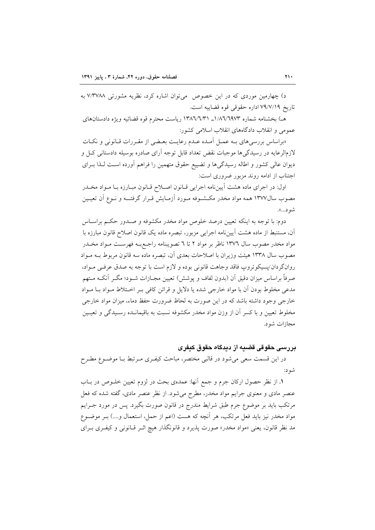د) چهارمین موردی که در این خصوص می توان اشاره کرد، نظریه مشورتی ۷/۳۷۸۸ به تاريخ ٧٩/٧/١٩ اداره حقوقي قوه قضاييه است.

هـ) ىخشنامه شماره ١/٨٦/٦٩٧٣ ـ ١٣٨٦/٦/٣١ رياست محترم قوه قضائيه ويژه دادستانهاي عمومی و انقلاب دادگاههای انقلاب اسلامی کشور:

«براساس بررسی های بـه عمـل آمـده عـدم رعایـت بعـضی از مقـررات قـانونی و نکـات لازمالرعایه در رسیدگیها موجبات نقض تعداد قابل توجه آرای صادره بوسیله دادستانی کـل و دیوان عالی کشور و اطاله رسیدگیها و تضییع حقوق متهمین را فراهم آورده است لـذا بـرای اجتناب از ادامه روند مزبور ضروری است:

اول: در اجرای ماده هشت آییننامه اجرایی قـانون اصـلاح قـانون مبـارزه بـا مـواد مخـدر مصوب سال۱۳۷۷ همه مواد مخدر مکـشــوفه مــورد آزمــایش قــرار گرفتـــه و نــوع آن تعیــین شو د...».

دوم: با توجه به اینکه تعیین درصد خلوص مواد مخدر مکشوفه و صـدور حکـم براسـاس آن، مستنبط از ماده هشت آیینِ نامه اجرایی مزبور، تبصره ماده یک قانون اصلاح قانون مبارزه با مواد مخدر مصوب سال ۱۳۷٦ ناظر بر مواد ۲ تا ٦ تصویبنامه راجـعبــه فهرسـت مــواد مخــدر مصوب سال ۱۳۳۸ هیئت وزیران با اصلاحات بعدی آن، تبصره ماده سه قانون مربوط بـه مـواد روانگردان/پسیکوتروپ فاقد وجاهت قانونی بوده و لازم است با توجه به صدق عرفـی مـواد، صرفاً براساس میزان دقیق آن (بدون لفاف و پوشش) تعیین مجـازات شــود؛ مگــر آنکــه مــتهم مدعی مخلوط بودن آن با مواد خارجی شده یا دلایل و قرائن کافی بـر اخـتلاط مـواد بـا مـواد خارجی وجود داشته باشد که در این صورت به لحاظ ضرورت حفظ دماء، میزان مواد خارجی مخلوط تعیین و با کسر آن از وزن مواد مخدر مکشوفه نسبت به باقیمانـده رسـیدگی و تعیـین مجازات شو د.

### پر رسے حقوقے قضیه از دیدگاہ حقوق کیفری

در این قسمت سعی میشود در قالبی مختصر، مباحث کیفـری مـرتبط بـا موضـوع مطـرح شه د:

١. از نظر حصول اركان جرم و جمع أنها: عمدهى بحث در لزوم تعيين خلــوص در بــاب عنصر مادی و معنوی جرایم مواد مخدر، مطرح میشود. از نظر عنصر مادی، گفته شده که فعل مرتکب باید بر موضوع جرم طبق شرایط مندرج در قانون صورت بگیرد. پس در مورد جــرایم مواد مخدر نیز باید فعل مرتکب، هر اَنچه که هست (اعم از حمل، استعمال و….) بـر موضــوع مد نظر قانون، یعنی «مواد مخدر» صورت پذیرد و قانونگذار هیچ اثـر قـانونی و کیفـری بـرای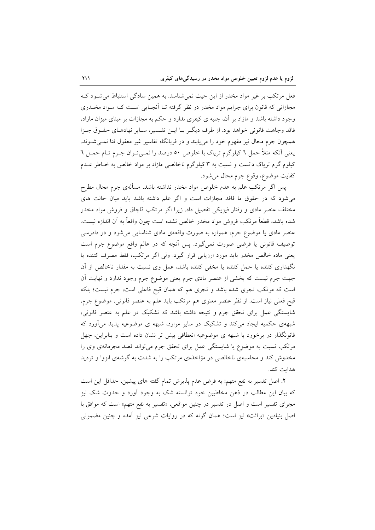فعل مرتکب بر غیر مواد مخدر از این حیث نمی شناسد. به همین سادگی استنباط می شود ک مجازاتی که قانون برای جرایم مواد مخدر در نظر گرفته تـا آنجـایی اسـت کـه مـواد مخـدری وجود داشته باشد و مازاد بر آن، جنبه ی کیفری ندارد و حکم به مجازات بر مبنای میزان مازاد، فاقد وجاهت قانوني خواهد بود. از طرف ديگـر بـا ايــن تفـسير، ســاير نهادهــاي حقــوق جــزا همچون جرم محال نیز مفهوم خود را می پابند و در قربانگاه تفاسیر غیر معقول فنا نمـی شـوند. يعني أنكه مثلاً حمل ٦ كيلوگرم ترياك با خلوص ٥٠ درصد را نمـيتـوان جـرم تــام حمــل ٦ کیلوم گرم تریاک دانست و نسبت به ۳ کیلوگرم ناخالصی مازاد بر مواد خالص به خـاطر عــدم كفايت موضوع، وقوع جرم محال مي شود.

پس اگر مرتکب علم به عدم خلوص مواد مخدر نداشته باشد، مسألهى جرم محال مطرح می شود که در حقوق ما فاقد مجازات است و اگر علم داشته باشد باید میان حالت های مختلف عنصر مادی و رفتار فیزیکی تفصیل داد. زیرا اگر مرتکب قاچاق و فروش مواد مخدر شده باشد، قطعاً مرتكب فروش مواد مخدر خالص نشده است چون واقعاً به أن اندازه نيست. عنصر مادی یا موضوع جرم، همواره به صورت واقعهی مادی شناسایی میشود و در دادرسی توصيف قانوني يا فرضي صورت نمي گيرد. پس آنچه كه در عالم واقع موضوع جرم است يعني ماده خالص مخدر بايد مورد ارزيابي قرار گيرد. ولي اگر مرتكب، فقط مصرف كننده يا نگهداری کننده یا حمل کننده یا مخفی کننده باشد، عمل وی نسبت به مقدار ناخالص از آن جهت جرم نیست که بخشی از عنصر مادی جرم یعنی موضوع جرم وجود ندارد و نهایت اَن است که مرتکب تجری شده باشد و تجری هم که همان قبح فاعلی است، جرم نیست؛ بلکه قبح فعلی نیاز است. از نظر عنصر معنوی هم مرتکب باید علم به عنصر قانونی، موضوع جرم، شایستگی عمل برای تحقق جرم و نتیجه داشته باشد که تشکیک در علم به عنصر قانونی، شبههی حکمیه ایجاد می کند و تشکیک در سایر موارد، شبهه ی موضوعیه پدید می آورد که قانونگذار در برخورد با شبهه ی موضوعیه انعطافی بیش تر نشان داده است و بنابراین، جهل مرتکب نسبت به موضوع یا شایستگی عمل برای تحقق جرم می تواند قصد مجرمانهی وی را مخدوش کند و محاسبهی ناخالصی در مؤاخذهی مرتکب را به شدت به گوشهی انزوا و تردید هدايت كند.

٢. اصل تفسير به نفع متهم: به فرض عدم پذيرش تمام گفته هاى پيشين، حداقل اين است که بیان این مطالب در ذهن مخاطبین خود توانسته شک به وجود آورد و حدوث شک نیز مجرای تفسیر است و اصل در تفسیر در چنین مواقعی، «تفسیر به نفع متهم» است که موافق با اصل بنیادین «برائت» نیز است؛ همان گونه که در روایات شرعی نیز آمده و چنین مضمونی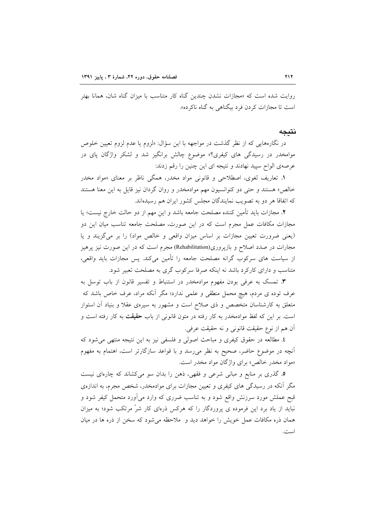روایت شده است که «مجازات نشدن چندین گناه کار متناسب با میزان گناه شان، همانا بهتر است تا مجازات کردن فرد بیگناهی به گناه ناکرده».

#### نتىجە

در نگارههایی که از نظر گذشت در مواجهه با این سؤال: «لزوم یا عدم لزوم تعیین خلوص موامخدر در رسیدگی های کیفری؟» موضوع چالش برانگیز شد و لشکر واژگان پای در عرصهی الواح سپید نهادند و نتیجه ای این چنین را رقم زدند:

۱. تعاریف لغوی، اصطلاحی و قانونی مواد مخدر، همگی ناظر بر معنای «مواد مخدر خالص» هستند و حتى دو كنوانسيون مهم موادمخدر و روان گردان نيز قايل به اين معنا هستند که اتفاقا هر دو به تصویب نمایندگان مجلس کشور ایران هم رسیدهاند.

٢. مجازات بايد تأمين كننده مصلحت جامعه باشد و اين مهم از دو حالت خارج نيست؛ يا مجازات مکافات عمل مجرم است که در این صورت، مصلحت جامعه تناسب میان این دو (یعنی ضرورت تعیین مجازات بر اساس میزان واقعی و خالص مواد) را بر می گزیند و یا مجارات در صدد اصلاح و بازیروری(Rehabilitation) مجرم است که در این صورت نیز پرهیز از سیاست های سرکوب گرانه مصلحت جامعه را تأمین میکند. پس مجازات باید واقعی، متناسب و دارای کارکرد باشد نه اینکه صرفا سرکوب گری به مصلحت تعبیر شود.

**۳**. تمسک به عرفی بودن مفهوم موادمخدر در استنباط و تفسیر قانون از باب توسل به عرف توده ي مردم، هيچ محمل منطقي و علمي ندارد؛ مگر آنکه مراد، عرف خاص باشد که متعلق به کارشناسان متخصص و ذی صلاح است و مشهور به سیرهی عقلا و بنیاد آن استوار است. بر این که لفظ موادمخدر به کار رفته در متون قانونی از باب **حقیقت** به کار رفته است و أن هم از نوع حقيقت قانوني و نه حقيقت عرفي.

٤. مطالعه در حقوق كيفري و مباحث اصولي و فلسفي نيز به اين نتيجه منتهى مي شود كه آنچه در موضوع حاضر، صحیح به نظر می٫رسد و با قواعد سازگارتر است، اهتمام به مفهوم «مواد مخدر خالص» براي واژگان مواد مخدر است.

۵. گذری بر منابع و مبانی شرعی و فقهی، ذهن را بدان سو میکشاند که چارهای نیست مگر آنکه در رسیدگی های کیفری و تعیین مجازات برای موادمخدر، شخص مجرم، به اندازهی قبح عملش مورد سرزنش واقع شود و به تناسب ضرری که وارد می آورد متحمل کیفر شود و نباید از یاد برد این فرموده ی پروردگار را که هرکس ذرهای کار شر مرتکب شود؛ به میزان همان ذره مكافات عمل خويش را خواهد ديد و ملاحظه مي شود كه سخن از ذره ها در ميان است.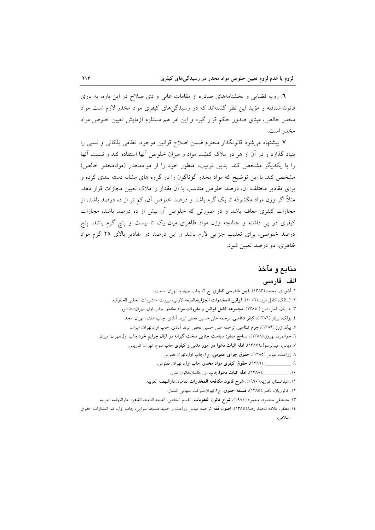٦. رویه قضایی و بخشنامههای صادره از مقامات عالی و ذی صلاح در این باره، به یاری قانون شتافته و مؤید این نظر گشتهاند که در رسیدگیهای کیفری مواد مخدر لازم است مواد مخدر خالص، مبنای صدور حکم قرار گیرد و این امر هم مستلزم آزمایش تعیین خلوص مواد مخدر است.

٧. پیشنهاد می شود قانونگذار محترم ضمن اصلاح قوانین موجود، نظامی پلکانی و نسبی را بنیاد گذارد و در آن از هر دو ملاک کمیّت مواد و میزان خلوص آنها استفاده کند و نسبت آنها را با یکدیگر مشخص کند. بدین ترتیب، منظور خود را از موادمخدر (موادمخدر خالص) مشخص کند. با این توضیح که مواد مخدر گوناگون را در گروه های مشابه دسته بندی کرده و برای مقادیر مختلف آن، درصد خلوص متناسب با آن مقدار را ملاک تعیین مجازات قرار دهد. مثلاً اگر وزن مواد مکشوفه تا یک گرم باشد و درصد خلوص آن، کم تر از ده درصد باشد، از مجازات کیفری معاف باشد و در صورتی که خلوص آن بیش از ده درصد باشد، مجازات کیفری در پی داشته و چنانچه وزن مواد ظاهری میان یک تا بیست و پنج گرم باشد، پنج درصد خلوصی، برای تعقیب جزایی لازم باشد و این درصد در مقادیر بالای ۲۵ گرم مواد ظاهري، دو درصد تعيين شود.

## منابع و مآخذ

#### الف– فار سے

۱. آشوری، محمد.(۱۳۸۳)، <mark>آیین دادرسی کیفری</mark>. ج ۲، چاپ چهارم، تهران: سمت. ٢. السالك، كامل فريد.(٢٠٠٦)، قوانين المخدرات الجزاييه.الطبعه الاولى، بيروت: منشورات الحلبي الحقوقيه. ۳. بدریان، فخرالدین.( ۱۳۸۵)، مجموعه کامل قوانین و مقررات مواد مخدر. چاپ اول، تهران: دانشور. ٤. بولک، برنار (١٣٨٦)، **کیفر شناسی**. ترجمه علی حسین نجفی ابرند آبادی، چاپ هفتم، تهران: مجد. ٥. پیکا، ژرژ.(١٣٨٩)، جرم شناسی. ترجمه علی حسین نجفی ابرند آبادی، چاپ اول،تهران: میزان. ٦. جوانمرد، بهروز.(١٣٨٨)، **تسامح صفر: سیاست جنایی سخت گیرانه در قبال جرایم خرد**.چاپ اول،تهران: میزان. ۷. دیانی، عبدالرسول.(۱۳۸۷)، <mark>ادله اثبات دعوا در امور مدنی و کیفری</mark> چاپ سوم، تهران: تدریس. ٨ زراعت، عباس.(١٣٨٥)، حقوق جزاي عمومي. ج ١،چاپ اول،تهران:ققنوس. ۹. \_\_\_\_\_\_\_\_\_\_\_\_. (١٣٨٦)، حقوق کیفری مواد مخدر. چاپ اول، تهران: ققنوس. ۱۰ \_\_\_\_\_\_\_\_\_\_\_(۱۳۸۸)، ا**دله اثبات دعوا** چاپ اول،کاشان:قانون مدار. ١١. عبدالستار، فوزيه.(١٩٩٠)، **شرح قانون مكافحه المخدرات**.القاهره: دارالنهضه العربيه. ۱۲. کاتوزیان، ناصر .(۱۳۸۵)، فلسفه حقوق. ج۲،تهران:شرکت سهامی انتشار. ١٣. مصطفى محمود، محمود.(١٩٨٤)، **شرح قانون العقوبات**. القسم الخاص، الطبعه الثامنه، القاهره: دارالنهضه العربيه. ١٤. مظفر، علامه محمد رضا.(١٣٨٥)، اصول فقه. ترجمه عباس زراعت و حميد مسجد سرايي، چاپ اول، قم: انتشارات حقوق

اسلامی.